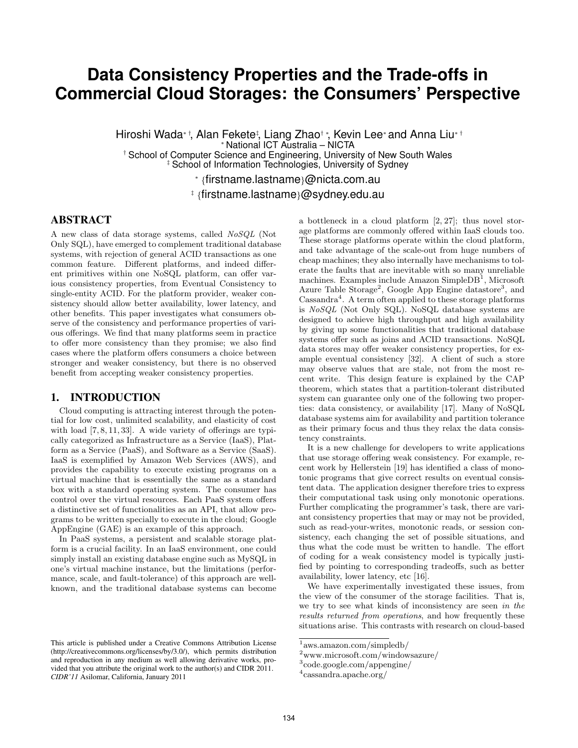# **Data Consistency Properties and the Trade-offs in Commercial Cloud Storages: the Consumers' Perspective**

Hiroshi Wada*∗ †*, Alan Fekete*‡* , Liang Zhao*† ∗*, Kevin Lee*<sup>∗</sup>* and Anna Liu*∗ † <sup>∗</sup>* National ICT Australia – NICTA *†* School of Computer Science and Engineering, University of New South Wales *‡* School of Information Technologies, University of Sydney

*∗ {*firstname.lastname*}*@nicta.com.au

*‡ {*firstname.lastname*}*@sydney.edu.au

# ABSTRACT

A new class of data storage systems, called *NoSQL* (Not Only SQL), have emerged to complement traditional database systems, with rejection of general ACID transactions as one common feature. Different platforms, and indeed different primitives within one NoSQL platform, can offer various consistency properties, from Eventual Consistency to single-entity ACID. For the platform provider, weaker consistency should allow better availability, lower latency, and other benefits. This paper investigates what consumers observe of the consistency and performance properties of various offerings. We find that many platforms seem in practice to offer more consistency than they promise; we also find cases where the platform offers consumers a choice between stronger and weaker consistency, but there is no observed benefit from accepting weaker consistency properties.

## 1. INTRODUCTION

Cloud computing is attracting interest through the potential for low cost, unlimited scalability, and elasticity of cost with load  $[7, 8, 11, 33]$ . A wide variety of offerings are typically categorized as Infrastructure as a Service (IaaS), Platform as a Service (PaaS), and Software as a Service (SaaS). IaaS is exemplified by Amazon Web Services (AWS), and provides the capability to execute existing programs on a virtual machine that is essentially the same as a standard box with a standard operating system. The consumer has control over the virtual resources. Each PaaS system offers a distinctive set of functionalities as an API, that allow programs to be written specially to execute in the cloud; Google AppEngine (GAE) is an example of this approach.

In PaaS systems, a persistent and scalable storage platform is a crucial facility. In an IaaS environment, one could simply install an existing database engine such as MySQL in one's virtual machine instance, but the limitations (performance, scale, and fault-tolerance) of this approach are wellknown, and the traditional database systems can become a bottleneck in a cloud platform [2, 27]; thus novel storage platforms are commonly offered within IaaS clouds too. These storage platforms operate within the cloud platform, and take advantage of the scale-out from huge numbers of cheap machines; they also internally have mechanisms to tolerate the faults that are inevitable with so many unreliable machines. Examples include Amazon SimpleDB<sup>1</sup>, Microsoft Azure Table Storage<sup>2</sup>, Google App Engine datastore<sup>3</sup>, and Cassandra<sup>4</sup>. A term often applied to these storage platforms is *NoSQL* (Not Only SQL). NoSQL database systems are designed to achieve high throughput and high availability by giving up some functionalities that traditional database systems offer such as joins and ACID transactions. NoSQL data stores may offer weaker consistency properties, for example eventual consistency [32]. A client of such a store may observe values that are stale, not from the most recent write. This design feature is explained by the CAP theorem, which states that a partition-tolerant distributed system can guarantee only one of the following two properties: data consistency, or availability [17]. Many of NoSQL database systems aim for availability and partition tolerance as their primary focus and thus they relax the data consistency constraints.

It is a new challenge for developers to write applications that use storage offering weak consistency. For example, recent work by Hellerstein [19] has identified a class of monotonic programs that give correct results on eventual consistent data. The application designer therefore tries to express their computational task using only monotonic operations. Further complicating the programmer's task, there are variant consistency properties that may or may not be provided, such as read-your-writes, monotonic reads, or session consistency, each changing the set of possible situations, and thus what the code must be written to handle. The effort of coding for a weak consistency model is typically justified by pointing to corresponding tradeoffs, such as better availability, lower latency, etc [16].

We have experimentally investigated these issues, from the view of the consumer of the storage facilities. That is, we try to see what kinds of inconsistency are seen *in the results returned from operations*, and how frequently these situations arise. This contrasts with research on cloud-based

This article is published under a Creative Commons Attribution License (http://creativecommons.org/licenses/by/3.0/), which permits distribution and reproduction in any medium as well allowing derivative works, provided that you attribute the original work to the author(s) and CIDR 2011. *CIDR'11* Asilomar, California, January 2011

<sup>1</sup> aws.amazon.com/simpledb/

 $^{2}$ www.microsoft.com/windowsazure/

<sup>3</sup> code.google.com/appengine/

<sup>4</sup> cassandra.apache.org/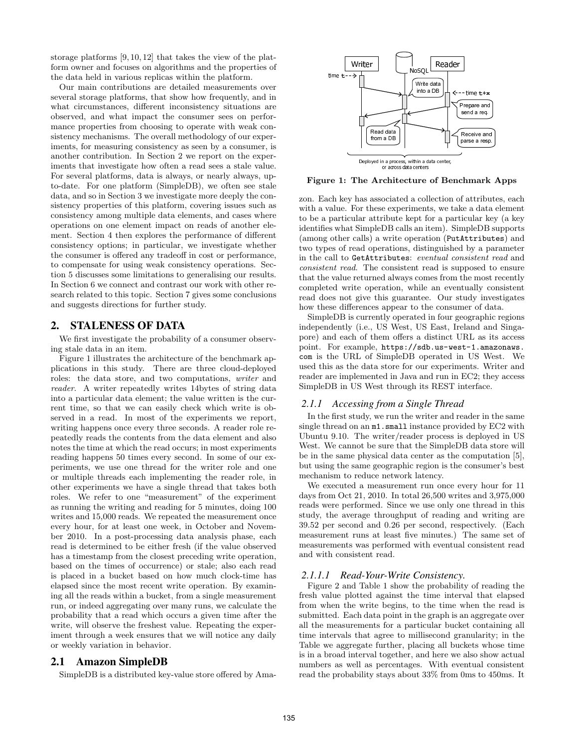storage platforms [9, 10, 12] that takes the view of the platform owner and focuses on algorithms and the properties of the data held in various replicas within the platform.

Our main contributions are detailed measurements over several storage platforms, that show how frequently, and in what circumstances, different inconsistency situations are observed, and what impact the consumer sees on performance properties from choosing to operate with weak consistency mechanisms. The overall methodology of our experiments, for measuring consistency as seen by a consumer, is another contribution. In Section 2 we report on the experiments that investigate how often a read sees a stale value. For several platforms, data is always, or nearly always, upto-date. For one platform (SimpleDB), we often see stale data, and so in Section 3 we investigate more deeply the consistency properties of this platform, covering issues such as consistency among multiple data elements, and cases where operations on one element impact on reads of another element. Section 4 then explores the performance of different consistency options; in particular, we investigate whether the consumer is offered any tradeoff in cost or performance, to compensate for using weak consistency operations. Section 5 discusses some limitations to generalising our results. In Section 6 we connect and contrast our work with other research related to this topic. Section 7 gives some conclusions and suggests directions for further study.

## 2. STALENESS OF DATA

We first investigate the probability of a consumer observing stale data in an item.

Figure 1 illustrates the architecture of the benchmark applications in this study. There are three cloud-deployed roles: the data store, and two computations, *writer* and *reader*. A writer repeatedly writes 14bytes of string data into a particular data element; the value written is the current time, so that we can easily check which write is observed in a read. In most of the experiments we report, writing happens once every three seconds. A reader role repeatedly reads the contents from the data element and also notes the time at which the read occurs; in most experiments reading happens 50 times every second. In some of our experiments, we use one thread for the writer role and one or multiple threads each implementing the reader role, in other experiments we have a single thread that takes both roles. We refer to one "measurement" of the experiment as running the writing and reading for 5 minutes, doing 100 writes and 15,000 reads. We repeated the measurement once every hour, for at least one week, in October and November 2010. In a post-processing data analysis phase, each read is determined to be either fresh (if the value observed has a timestamp from the closest preceding write operation, based on the times of occurrence) or stale; also each read is placed in a bucket based on how much clock-time has elapsed since the most recent write operation. By examining all the reads within a bucket, from a single measurement run, or indeed aggregating over many runs, we calculate the probability that a read which occurs a given time after the write, will observe the freshest value. Repeating the experiment through a week ensures that we will notice any daily or weekly variation in behavior.

#### 2.1 Amazon SimpleDB

SimpleDB is a distributed key-value store offered by Ama-



**Figure 1: The Architecture of Benchmark Apps**

zon. Each key has associated a collection of attributes, each with a value. For these experiments, we take a data element to be a particular attribute kept for a particular key (a key identifies what SimpleDB calls an item). SimpleDB supports (among other calls) a write operation (PutAttributes) and two types of read operations, distinguished by a parameter in the call to GetAttributes: *eventual consistent read* and *consistent read*. The consistent read is supposed to ensure that the value returned always comes from the most recently completed write operation, while an eventually consistent read does not give this guarantee. Our study investigates how these differences appear to the consumer of data.

SimpleDB is currently operated in four geographic regions independently (i.e., US West, US East, Ireland and Singapore) and each of them offers a distinct URL as its access point. For example, https://sdb.us-west-1.amazonaws. com is the URL of SimpleDB operated in US West. We used this as the data store for our experiments. Writer and reader are implemented in Java and run in EC2; they access SimpleDB in US West through its REST interface.

#### *2.1.1 Accessing from a Single Thread*

In the first study, we run the writer and reader in the same single thread on an  $m1$ . small instance provided by EC2 with Ubuntu 9.10. The writer/reader process is deployed in US West. We cannot be sure that the SimpleDB data store will be in the same physical data center as the computation [5], but using the same geographic region is the consumer's best mechanism to reduce network latency.

We executed a measurement run once every hour for 11 days from Oct 21, 2010. In total 26,500 writes and 3,975,000 reads were performed. Since we use only one thread in this study, the average throughput of reading and writing are 39.52 per second and 0.26 per second, respectively. (Each measurement runs at least five minutes.) The same set of measurements was performed with eventual consistent read and with consistent read.

#### *2.1.1.1 Read-Your-Write Consistency.*

Figure 2 and Table 1 show the probability of reading the fresh value plotted against the time interval that elapsed from when the write begins, to the time when the read is submitted. Each data point in the graph is an aggregate over all the measurements for a particular bucket containing all time intervals that agree to millisecond granularity; in the Table we aggregate further, placing all buckets whose time is in a broad interval together, and here we also show actual numbers as well as percentages. With eventual consistent read the probability stays about 33% from 0ms to 450ms. It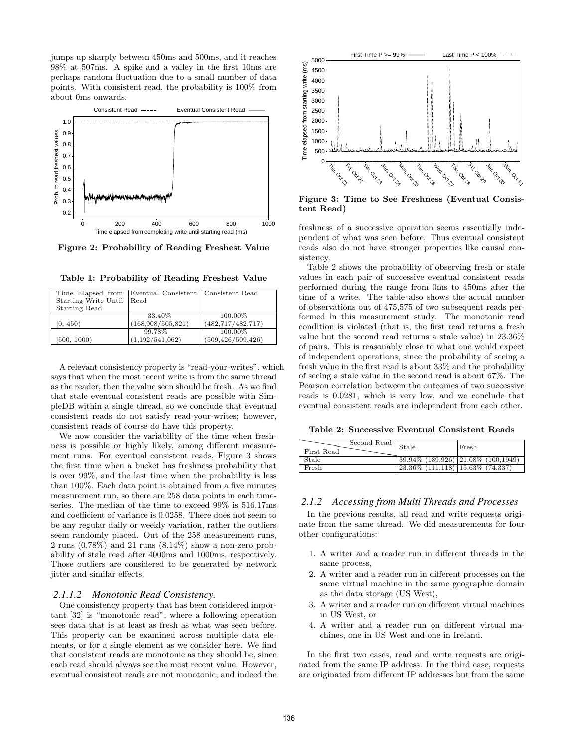jumps up sharply between 450ms and 500ms, and it reaches 98% at 507ms. A spike and a valley in the first 10ms are perhaps random fluctuation due to a small number of data points. With consistent read, the probability is 100% from about 0ms onwards.



**Figure 2: Probability of Reading Freshest Value**

| Table 1: Probability of Reading Freshest Value |  |  |
|------------------------------------------------|--|--|
|                                                |  |  |

|                           | Time Elapsed from Eventual Consistent Consistent Read |                     |
|---------------------------|-------------------------------------------------------|---------------------|
| Starting Write Until Read |                                                       |                     |
| <b>Starting Read</b>      |                                                       |                     |
|                           | 33.40\%                                               | 100.00%             |
| [0, 450)                  | (168,908/505,821)                                     | (482, 717/482, 717) |
|                           | 99.78%                                                | 100.00%             |
| [500, 1000]               | (1,192/541,062)                                       | (509, 426/509, 426) |

A relevant consistency property is "read-your-writes", which says that when the most recent write is from the same thread as the reader, then the value seen should be fresh. As we find that stale eventual consistent reads are possible with SimpleDB within a single thread, so we conclude that eventual consistent reads do not satisfy read-your-writes; however, consistent reads of course do have this property.

We now consider the variability of the time when freshness is possible or highly likely, among different measurement runs. For eventual consistent reads, Figure 3 shows the first time when a bucket has freshness probability that is over 99%, and the last time when the probability is less than 100%. Each data point is obtained from a five minutes measurement run, so there are 258 data points in each timeseries. The median of the time to exceed 99% is 516.17ms and coefficient of variance is 0.0258. There does not seem to be any regular daily or weekly variation, rather the outliers seem randomly placed. Out of the 258 measurement runs, 2 runs (0.78%) and 21 runs (8.14%) show a non-zero probability of stale read after 4000ms and 1000ms, respectively. Those outliers are considered to be generated by network jitter and similar effects.

#### *2.1.1.2 Monotonic Read Consistency.*

One consistency property that has been considered important [32] is "monotonic read", where a following operation sees data that is at least as fresh as what was seen before. This property can be examined across multiple data elements, or for a single element as we consider here. We find that consistent reads are monotonic as they should be, since each read should always see the most recent value. However, eventual consistent reads are not monotonic, and indeed the



**Figure 3: Time to See Freshness (Eventual Consistent Read)**

freshness of a successive operation seems essentially independent of what was seen before. Thus eventual consistent reads also do not have stronger properties like causal consistency.

Table 2 shows the probability of observing fresh or stale values in each pair of successive eventual consistent reads performed during the range from 0ms to 450ms after the time of a write. The table also shows the actual number of observations out of 475,575 of two subsequent reads performed in this measurement study. The monotonic read condition is violated (that is, the first read returns a fresh value but the second read returns a stale value) in 23.36% of pairs. This is reasonably close to what one would expect of independent operations, since the probability of seeing a fresh value in the first read is about 33% and the probability of seeing a stale value in the second read is about 67%. The Pearson correlation between the outcomes of two successive reads is 0.0281, which is very low, and we conclude that eventual consistent reads are independent from each other.

**Table 2: Successive Eventual Consistent Reads**

|            | Second Read | Stale                                  | Fresh                                   |
|------------|-------------|----------------------------------------|-----------------------------------------|
| First Read |             |                                        |                                         |
| Stale      |             |                                        | $ 39.94\% (189.926) 21.08\% (100.1949)$ |
| Fresh      |             | $(23.36\% (111,118) 15.63\% (74,337))$ |                                         |

#### *2.1.2 Accessing from Multi Threads and Processes*

In the previous results, all read and write requests originate from the same thread. We did measurements for four other configurations:

- 1. A writer and a reader run in different threads in the same process,
- 2. A writer and a reader run in different processes on the same virtual machine in the same geographic domain as the data storage (US West),
- 3. A writer and a reader run on different virtual machines in US West, or
- 4. A writer and a reader run on different virtual machines, one in US West and one in Ireland.

In the first two cases, read and write requests are originated from the same IP address. In the third case, requests are originated from different IP addresses but from the same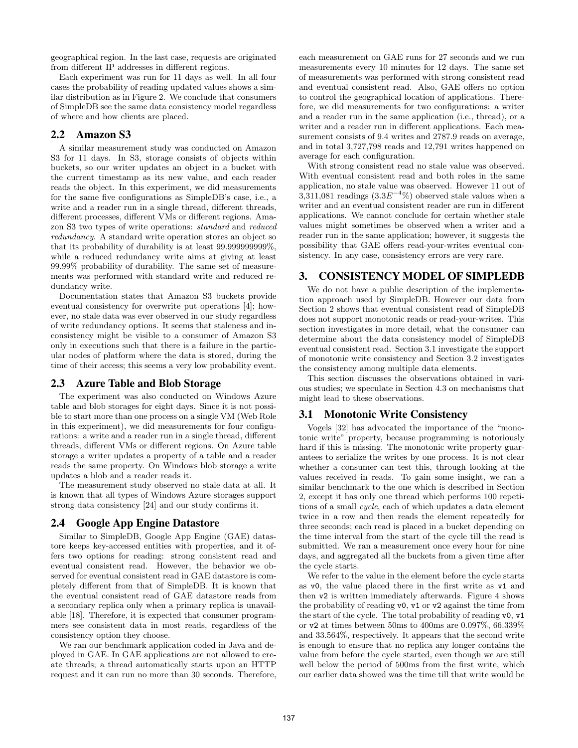geographical region. In the last case, requests are originated from different IP addresses in different regions.

Each experiment was run for 11 days as well. In all four cases the probability of reading updated values shows a similar distribution as in Figure 2. We conclude that consumers of SimpleDB see the same data consistency model regardless of where and how clients are placed.

## 2.2 Amazon S3

A similar measurement study was conducted on Amazon S3 for 11 days. In S3, storage consists of objects within buckets, so our writer updates an object in a bucket with the current timestamp as its new value, and each reader reads the object. In this experiment, we did measurements for the same five configurations as SimpleDB's case, i.e., a write and a reader run in a single thread, different threads, different processes, different VMs or different regions. Amazon S3 two types of write operations: *standard* and *reduced redundancy*. A standard write operation stores an object so that its probability of durability is at least 99.999999999%, while a reduced redundancy write aims at giving at least 99.99% probability of durability. The same set of measurements was performed with standard write and reduced redundancy write.

Documentation states that Amazon S3 buckets provide eventual consistency for overwrite put operations [4]; however, no stale data was ever observed in our study regardless of write redundancy options. It seems that staleness and inconsistency might be visible to a consumer of Amazon S3 only in executions such that there is a failure in the particular nodes of platform where the data is stored, during the time of their access; this seems a very low probability event.

## 2.3 Azure Table and Blob Storage

The experiment was also conducted on Windows Azure table and blob storages for eight days. Since it is not possible to start more than one process on a single VM (Web Role in this experiment), we did measurements for four configurations: a write and a reader run in a single thread, different threads, different VMs or different regions. On Azure table storage a writer updates a property of a table and a reader reads the same property. On Windows blob storage a write updates a blob and a reader reads it.

The measurement study observed no stale data at all. It is known that all types of Windows Azure storages support strong data consistency [24] and our study confirms it.

## 2.4 Google App Engine Datastore

Similar to SimpleDB, Google App Engine (GAE) datastore keeps key-accessed entities with properties, and it offers two options for reading: strong consistent read and eventual consistent read. However, the behavior we observed for eventual consistent read in GAE datastore is completely different from that of SimpleDB. It is known that the eventual consistent read of GAE datastore reads from a secondary replica only when a primary replica is unavailable [18]. Therefore, it is expected that consumer programmers see consistent data in most reads, regardless of the consistency option they choose.

We ran our benchmark application coded in Java and deployed in GAE. In GAE applications are not allowed to create threads; a thread automatically starts upon an HTTP request and it can run no more than 30 seconds. Therefore, each measurement on GAE runs for 27 seconds and we run measurements every 10 minutes for 12 days. The same set of measurements was performed with strong consistent read and eventual consistent read. Also, GAE offers no option to control the geographical location of applications. Therefore, we did measurements for two configurations: a writer and a reader run in the same application (i.e., thread), or a writer and a reader run in different applications. Each measurement consists of 9.4 writes and 2787.9 reads on average, and in total 3,727,798 reads and 12,791 writes happened on average for each configuration.

With strong consistent read no stale value was observed. With eventual consistent read and both roles in the same application, no stale value was observed. However 11 out of  $3,311,081$  readings  $(3.3E^{-4}\%)$  observed stale values when a writer and an eventual consistent reader are run in different applications. We cannot conclude for certain whether stale values might sometimes be observed when a writer and a reader run in the same application; however, it suggests the possibility that GAE offers read-your-writes eventual consistency. In any case, consistency errors are very rare.

## 3. CONSISTENCY MODEL OF SIMPLEDB

We do not have a public description of the implementation approach used by SimpleDB. However our data from Section 2 shows that eventual consistent read of SimpleDB does not support monotonic reads or read-your-writes. This section investigates in more detail, what the consumer can determine about the data consistency model of SimpleDB eventual consistent read. Section 3.1 investigate the support of monotonic write consistency and Section 3.2 investigates the consistency among multiple data elements.

This section discusses the observations obtained in various studies; we speculate in Section 4.3 on mechanisms that might lead to these observations.

## 3.1 Monotonic Write Consistency

Vogels [32] has advocated the importance of the "monotonic write" property, because programming is notoriously hard if this is missing. The monotonic write property guarantees to serialize the writes by one process. It is not clear whether a consumer can test this, through looking at the values received in reads. To gain some insight, we ran a similar benchmark to the one which is described in Section 2, except it has only one thread which performs 100 repetitions of a small *cycle*, each of which updates a data element twice in a row and then reads the element repeatedly for three seconds; each read is placed in a bucket depending on the time interval from the start of the cycle till the read is submitted. We ran a measurement once every hour for nine days, and aggregated all the buckets from a given time after the cycle starts.

We refer to the value in the element before the cycle starts as v0, the value placed there in the first write as v1 and then v2 is written immediately afterwards. Figure 4 shows the probability of reading v0, v1 or v2 against the time from the start of the cycle. The total probability of reading v0, v1 or v2 at times between 50ms to 400ms are 0.097%, 66.339% and 33.564%, respectively. It appears that the second write is enough to ensure that no replica any longer contains the value from before the cycle started, even though we are still well below the period of 500ms from the first write, which our earlier data showed was the time till that write would be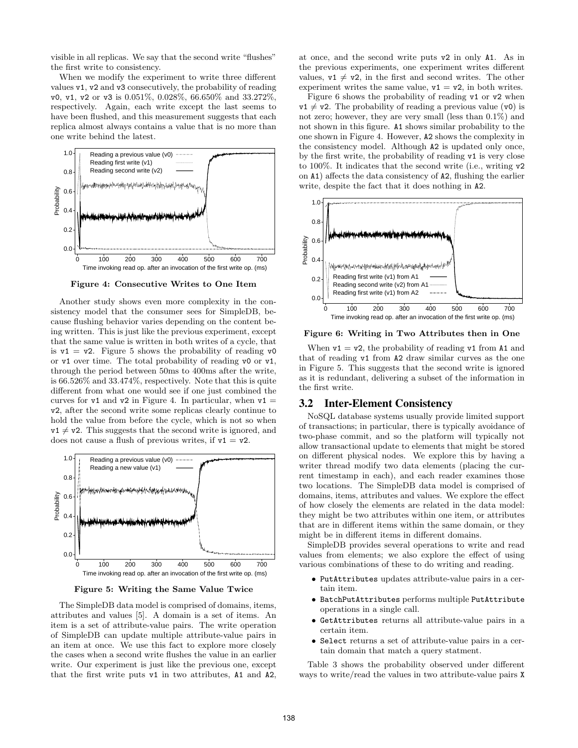visible in all replicas. We say that the second write "flushes" the first write to consistency.

When we modify the experiment to write three different values v1, v2 and v3 consecutively, the probability of reading v0, v1, v2 or v3 is 0.051%, 0.028%, 66.650% and 33.272%, respectively. Again, each write except the last seems to have been flushed, and this measurement suggests that each replica almost always contains a value that is no more than one write behind the latest.



**Figure 4: Consecutive Writes to One Item**

Another study shows even more complexity in the consistency model that the consumer sees for SimpleDB, because flushing behavior varies depending on the content being written. This is just like the previous experiment, except that the same value is written in both writes of a cycle, that is  $v1 = v2$ . Figure 5 shows the probability of reading v0 or v1 over time. The total probability of reading v0 or v1, through the period between 50ms to 400ms after the write, is 66.526% and 33.474%, respectively. Note that this is quite different from what one would see if one just combined the curves for  $v1$  and  $v2$  in Figure 4. In particular, when  $v1 =$ v2, after the second write some replicas clearly continue to hold the value from before the cycle, which is not so when  $v1 \neq v2$ . This suggests that the second write is ignored, and does not cause a flush of previous writes, if  $v1 = v2$ .



**Figure 5: Writing the Same Value Twice**

The SimpleDB data model is comprised of domains, items, attributes and values [5]. A domain is a set of items. An item is a set of attribute-value pairs. The write operation of SimpleDB can update multiple attribute-value pairs in an item at once. We use this fact to explore more closely the cases when a second write flushes the value in an earlier write. Our experiment is just like the previous one, except that the first write puts v1 in two attributes, A1 and A2,

at once, and the second write puts v2 in only A1. As in the previous experiments, one experiment writes different values,  $v1 \neq v2$ , in the first and second writes. The other experiment writes the same value,  $v1 = v2$ , in both writes.

Figure 6 shows the probability of reading v1 or v2 when  $v1 \neq v2$ . The probability of reading a previous value (v0) is not zero; however, they are very small (less than 0.1%) and not shown in this figure. A1 shows similar probability to the one shown in Figure 4. However, A2 shows the complexity in the consistency model. Although A2 is updated only once, by the first write, the probability of reading v1 is very close to 100%. It indicates that the second write (i.e., writing v2 on A1) affects the data consistency of A2, flushing the earlier write, despite the fact that it does nothing in A2.



**Figure 6: Writing in Two Attributes then in One**

When  $v1 = v2$ , the probability of reading v1 from A1 and that of reading v1 from A2 draw similar curves as the one in Figure 5. This suggests that the second write is ignored as it is redundant, delivering a subset of the information in the first write.

## 3.2 Inter-Element Consistency

NoSQL database systems usually provide limited support of transactions; in particular, there is typically avoidance of two-phase commit, and so the platform will typically not allow transactional update to elements that might be stored on different physical nodes. We explore this by having a writer thread modify two data elements (placing the current timestamp in each), and each reader examines those two locations. The SimpleDB data model is comprised of domains, items, attributes and values. We explore the effect of how closely the elements are related in the data model: they might be two attributes within one item, or attributes that are in different items within the same domain, or they might be in different items in different domains.

SimpleDB provides several operations to write and read values from elements; we also explore the effect of using various combinations of these to do writing and reading.

- *•* PutAttributes updates attribute-value pairs in a certain item.
- *•* BatchPutAttributes performs multiple PutAttribute operations in a single call.
- *•* GetAttributes returns all attribute-value pairs in a certain item.
- *•* Select returns a set of attribute-value pairs in a certain domain that match a query statment.

Table 3 shows the probability observed under different ways to write/read the values in two attribute-value pairs X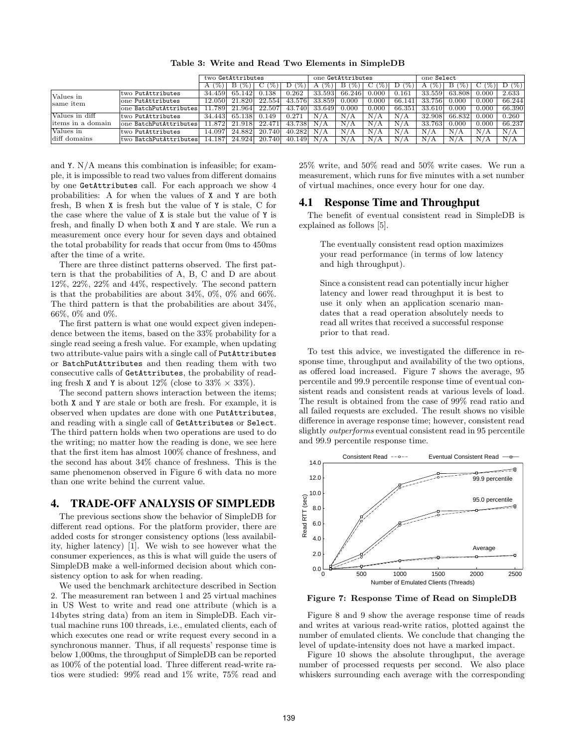**Table 3: Write and Read Two Elements in SimpleDB**

|                           |                        | two GetAttributes |         |              | one GetAttributes |             |             |                    | one Select    |                   |                |           |        |
|---------------------------|------------------------|-------------------|---------|--------------|-------------------|-------------|-------------|--------------------|---------------|-------------------|----------------|-----------|--------|
|                           |                        | $\%$ )            | $B($ %) | C.<br>$(\%)$ | $\%$<br>D         | $\%$ )<br>А | в<br>$\%$ ) | $\frac{1}{2}$<br>€ | $\frac{9}{2}$ | $\cdot$ (%).<br>А | $\mathbf{B}$ ( | $C^{(2)}$ | D(%)   |
| Values in<br>same item    | two PutAttributes      | 34.459            | 65.142  | 0.138        | 0.262             | 33.593      | 66.246      | 0.000              | 0.161         | 33.559            | 63.808         | 0.000     | 2.633  |
|                           | one PutAttributes      | 12.0501           | 21.820  | 22.554       | 43.576            | 33.859      | $0.000\,$   | 0.000              | 66.141        | 33.756            | 0.000          | 0.000     | 66.244 |
|                           | one BatchPutAttributes | .7891             | 21.964  | 22.507       | 43.740            | 33.649      | 0.000       | 0.000              | 66.351        | 33.610            | 0.000          | 0.000     | 66.390 |
| Values in diff            | two PutAttributes      | 34.443            | 65.138  | 0.149        | 0.271             | N/A         | N/A         | $N_{\ell}$         | $N_{\ell}$    | 32.908            | 66.832         | 0.000     | 0.260  |
| litems in a domain        | one BatchPutAttributes | .872              | 21.918  | 22.471       | 43.738            | N/A         | N/          | N,                 | N.            | 33.763            | 0.000          | 0.000     | 66.237 |
| Values in<br>diff domains | two PutAttributes      | 14.097            | 24.882  | 20.740       | 40.282            | N/A         | N/A         | N/                 | N/A           | N/A               | N/A            | N/A       | N/A    |
|                           | two BatchPutAttributes | 14.187            | 24.924  | 20.740       | 40.149            | N/A         | N/          | $N_{\ell}$         | N             | А                 | N/A            | N/A       | N/A    |

and Y. N/A means this combination is infeasible; for example, it is impossible to read two values from different domains by one GetAttributes call. For each approach we show 4 probabilities: A for when the values of X and Y are both fresh, B when X is fresh but the value of Y is stale, C for the case where the value of X is stale but the value of Y is fresh, and finally D when both X and Y are stale. We run a measurement once every hour for seven days and obtained the total probability for reads that occur from 0ms to 450ms after the time of a write.

There are three distinct patterns observed. The first pattern is that the probabilities of A, B, C and D are about 12%, 22%, 22% and 44%, respectively. The second pattern is that the probabilities are about 34%, 0%, 0% and 66%. The third pattern is that the probabilities are about 34%, 66%, 0% and 0%.

The first pattern is what one would expect given independence between the items, based on the 33% probability for a single read seeing a fresh value. For example, when updating two attribute-value pairs with a single call of PutAttributes or BatchPutAttributes and then reading them with two consecutive calls of GetAttributes, the probability of reading fresh X and Y is about  $12\%$  (close to  $33\% \times 33\%$ ).

The second pattern shows interaction between the items; both X and Y are stale or both are fresh. For example, it is observed when updates are done with one PutAttributes, and reading with a single call of GetAttributes or Select. The third pattern holds when two operations are used to do the writing; no matter how the reading is done, we see here that the first item has almost 100% chance of freshness, and the second has about 34% chance of freshness. This is the same phenomenon observed in Figure 6 with data no more than one write behind the current value.

#### 4. TRADE-OFF ANALYSIS OF SIMPLEDB

The previous sections show the behavior of SimpleDB for different read options. For the platform provider, there are added costs for stronger consistency options (less availability, higher latency) [1]. We wish to see however what the consumer experiences, as this is what will guide the users of SimpleDB make a well-informed decision about which consistency option to ask for when reading.

We used the benchmark architecture described in Section 2. The measurement ran between 1 and 25 virtual machines in US West to write and read one attribute (which is a 14bytes string data) from an item in SimpleDB. Each virtual machine runs 100 threads, i.e., emulated clients, each of which executes one read or write request every second in a synchronous manner. Thus, if all requests' response time is below 1,000ms, the throughput of SimpleDB can be reported as 100% of the potential load. Three different read-write ratios were studied: 99% read and 1% write, 75% read and 25% write, and 50% read and 50% write cases. We run a measurement, which runs for five minutes with a set number of virtual machines, once every hour for one day.

### 4.1 Response Time and Throughput

The benefit of eventual consistent read in SimpleDB is explained as follows [5].

The eventually consistent read option maximizes your read performance (in terms of low latency and high throughput).

Since a consistent read can potentially incur higher latency and lower read throughput it is best to use it only when an application scenario mandates that a read operation absolutely needs to read all writes that received a successful response prior to that read.

To test this advice, we investigated the difference in response time, throughput and availability of the two options, as offered load increased. Figure 7 shows the average, 95 percentile and 99.9 percentile response time of eventual consistent reads and consistent reads at various levels of load. The result is obtained from the case of 99% read ratio and all failed requests are excluded. The result shows no visible difference in average response time; however, consistent read slightly *outperforms* eventual consistent read in 95 percentile and 99.9 percentile response time.



**Figure 7: Response Time of Read on SimpleDB**

Figure 8 and 9 show the average response time of reads and writes at various read-write ratios, plotted against the number of emulated clients. We conclude that changing the level of update-intensity does not have a marked impact.

Figure 10 shows the absolute throughput, the average number of processed requests per second. We also place whiskers surrounding each average with the corresponding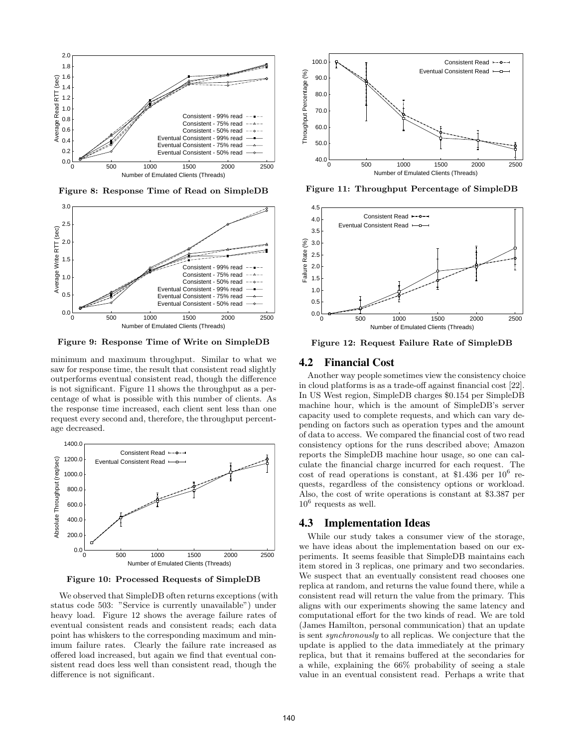

**Figure 8: Response Time of Read on SimpleDB**



**Figure 9: Response Time of Write on SimpleDB**

minimum and maximum throughput. Similar to what we saw for response time, the result that consistent read slightly outperforms eventual consistent read, though the difference is not significant. Figure 11 shows the throughput as a percentage of what is possible with this number of clients. As the response time increased, each client sent less than one request every second and, therefore, the throughput percentage decreased.



**Figure 10: Processed Requests of SimpleDB**

We observed that SimpleDB often returns exceptions (with status code 503: "Service is currently unavailable") under heavy load. Figure 12 shows the average failure rates of eventual consistent reads and consistent reads; each data point has whiskers to the corresponding maximum and minimum failure rates. Clearly the failure rate increased as offered load increased, but again we find that eventual consistent read does less well than consistent read, though the



**Figure 11: Throughput Percentage of SimpleDB**



**Figure 12: Request Failure Rate of SimpleDB**

#### 4.2 Financial Cost

Another way people sometimes view the consistency choice in cloud platforms is as a trade-off against financial cost [22]. In US West region, SimpleDB charges \$0.154 per SimpleDB machine hour, which is the amount of SimpleDB's server capacity used to complete requests, and which can vary depending on factors such as operation types and the amount of data to access. We compared the financial cost of two read consistency options for the runs described above; Amazon reports the SimpleDB machine hour usage, so one can calculate the financial charge incurred for each request. The cost of read operations is constant, at \$1.436 per  $10^6$  requests, regardless of the consistency options or workload. Also, the cost of write operations is constant at \$3.387 per  $10^6$  requests as well.

#### 4.3 Implementation Ideas

While our study takes a consumer view of the storage, we have ideas about the implementation based on our experiments. It seems feasible that SimpleDB maintains each item stored in 3 replicas, one primary and two secondaries. We suspect that an eventually consistent read chooses one replica at random, and returns the value found there, while a consistent read will return the value from the primary. This aligns with our experiments showing the same latency and computational effort for the two kinds of read. We are told (James Hamilton, personal communication) that an update is sent *synchronously* to all replicas. We conjecture that the update is applied to the data immediately at the primary replica, but that it remains buffered at the secondaries for a while, explaining the 66% probability of seeing a stale value in an eventual consistent read. Perhaps a write that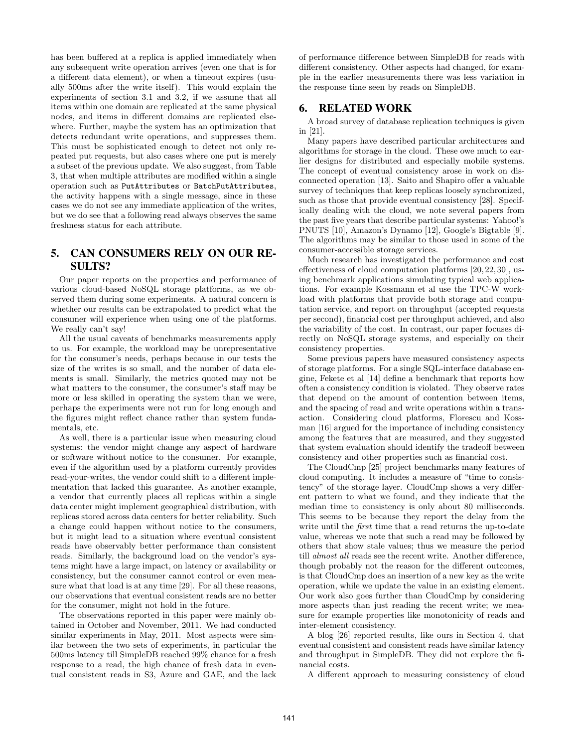has been buffered at a replica is applied immediately when any subsequent write operation arrives (even one that is for a different data element), or when a timeout expires (usually 500ms after the write itself). This would explain the experiments of section 3.1 and 3.2, if we assume that all items within one domain are replicated at the same physical nodes, and items in different domains are replicated elsewhere. Further, maybe the system has an optimization that detects redundant write operations, and suppresses them. This must be sophisticated enough to detect not only repeated put requests, but also cases where one put is merely a subset of the previous update. We also suggest, from Table 3, that when multiple attributes are modified within a single operation such as PutAttributes or BatchPutAttributes, the activity happens with a single message, since in these cases we do not see any immediate application of the writes, but we do see that a following read always observes the same freshness status for each attribute.

# 5. CAN CONSUMERS RELY ON OUR RE-SULTS?

Our paper reports on the properties and performance of various cloud-based NoSQL storage platforms, as we observed them during some experiments. A natural concern is whether our results can be extrapolated to predict what the consumer will experience when using one of the platforms. We really can't say!

All the usual caveats of benchmarks measurements apply to us. For example, the workload may be unrepresentative for the consumer's needs, perhaps because in our tests the size of the writes is so small, and the number of data elements is small. Similarly, the metrics quoted may not be what matters to the consumer, the consumer's staff may be more or less skilled in operating the system than we were, perhaps the experiments were not run for long enough and the figures might reflect chance rather than system fundamentals, etc.

As well, there is a particular issue when measuring cloud systems: the vendor might change any aspect of hardware or software without notice to the consumer. For example, even if the algorithm used by a platform currently provides read-your-writes, the vendor could shift to a different implementation that lacked this guarantee. As another example, a vendor that currently places all replicas within a single data center might implement geographical distribution, with replicas stored across data centers for better reliability. Such a change could happen without notice to the consumers, but it might lead to a situation where eventual consistent reads have observably better performance than consistent reads. Similarly, the background load on the vendor's systems might have a large impact, on latency or availability or consistency, but the consumer cannot control or even measure what that load is at any time [29]. For all these reasons, our observations that eventual consistent reads are no better for the consumer, might not hold in the future.

The observations reported in this paper were mainly obtained in October and November, 2011. We had conducted similar experiments in May, 2011. Most aspects were similar between the two sets of experiments, in particular the 500ms latency till SimpleDB reached 99% chance for a fresh response to a read, the high chance of fresh data in eventual consistent reads in S3, Azure and GAE, and the lack of performance difference between SimpleDB for reads with different consistency. Other aspects had changed, for example in the earlier measurements there was less variation in the response time seen by reads on SimpleDB.

# 6. RELATED WORK

A broad survey of database replication techniques is given in [21].

Many papers have described particular architectures and algorithms for storage in the cloud. These owe much to earlier designs for distributed and especially mobile systems. The concept of eventual consistency arose in work on disconnected operation [13]. Saito and Shapiro offer a valuable survey of techniques that keep replicas loosely synchronized, such as those that provide eventual consistency [28]. Specifically dealing with the cloud, we note several papers from the past five years that describe particular systems: Yahoo!'s PNUTS [10], Amazon's Dynamo [12], Google's Bigtable [9]. The algorithms may be similar to those used in some of the consumer-accessible storage services.

Much research has investigated the performance and cost effectiveness of cloud computation platforms [20, 22, 30], using benchmark applications simulating typical web applications. For example Kossmann et al use the TPC-W workload with platforms that provide both storage and computation service, and report on throughput (accepted requests per second), financial cost per throughput achieved, and also the variability of the cost. In contrast, our paper focuses directly on NoSQL storage systems, and especially on their consistency properties.

Some previous papers have measured consistency aspects of storage platforms. For a single SQL-interface database engine, Fekete et al [14] define a benchmark that reports how often a consistency condition is violated. They observe rates that depend on the amount of contention between items, and the spacing of read and write operations within a transaction. Considering cloud platforms, Florescu and Kossman [16] argued for the importance of including consistency among the features that are measured, and they suggested that system evaluation should identify the tradeoff between consistency and other properties such as financial cost.

The CloudCmp [25] project benchmarks many features of cloud computing. It includes a measure of "time to consistency" of the storage layer. CloudCmp shows a very different pattern to what we found, and they indicate that the median time to consistency is only about 80 milliseconds. This seems to be because they report the delay from the write until the *first* time that a read returns the up-to-date value, whereas we note that such a read may be followed by others that show stale values; thus we measure the period till *almost all* reads see the recent write. Another difference, though probably not the reason for the different outcomes, is that CloudCmp does an insertion of a new key as the write operation, while we update the value in an existing element. Our work also goes further than CloudCmp by considering more aspects than just reading the recent write; we measure for example properties like monotonicity of reads and inter-element consistency.

A blog [26] reported results, like ours in Section 4, that eventual consistent and consistent reads have similar latency and throughput in SimpleDB. They did not explore the financial costs.

A different approach to measuring consistency of cloud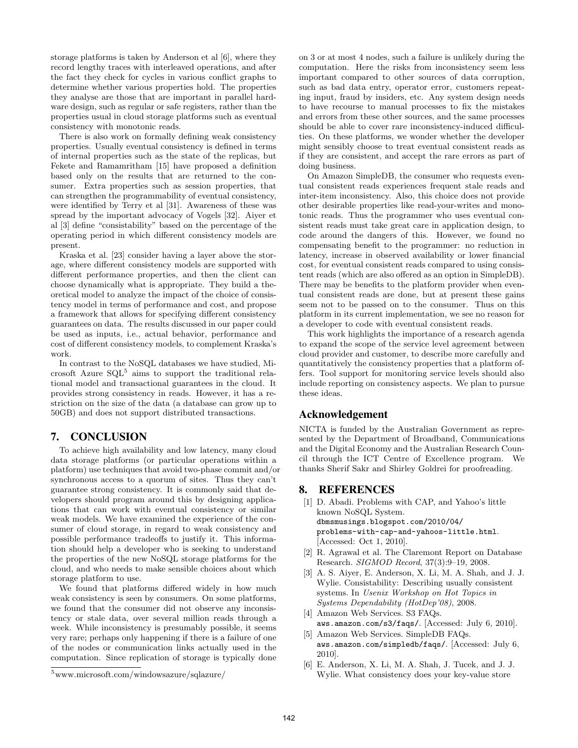storage platforms is taken by Anderson et al [6], where they record lengthy traces with interleaved operations, and after the fact they check for cycles in various conflict graphs to determine whether various properties hold. The properties they analyse are those that are important in parallel hardware design, such as regular or safe registers, rather than the properties usual in cloud storage platforms such as eventual consistency with monotonic reads.

There is also work on formally defining weak consistency properties. Usually eventual consistency is defined in terms of internal properties such as the state of the replicas, but Fekete and Ramamritham [15] have proposed a definition based only on the results that are returned to the consumer. Extra properties such as session properties, that can strengthen the programmability of eventual consistency, were identified by Terry et al [31]. Awareness of these was spread by the important advocacy of Vogels [32]. Aiyer et al [3] define "consistability" based on the percentage of the operating period in which different consistency models are present.

Kraska et al. [23] consider having a layer above the storage, where different consistency models are supported with different performance properties, and then the client can choose dynamically what is appropriate. They build a theoretical model to analyze the impact of the choice of consistency model in terms of performance and cost, and propose a framework that allows for specifying different consistency guarantees on data. The results discussed in our paper could be used as inputs, i.e., actual behavior, performance and cost of different consistency models, to complement Kraska's work.

In contrast to the NoSQL databases we have studied, Microsoft Azure  $SQL^5$  aims to support the traditional relational model and transactional guarantees in the cloud. It provides strong consistency in reads. However, it has a restriction on the size of the data (a database can grow up to 50GB) and does not support distributed transactions.

## 7. CONCLUSION

To achieve high availability and low latency, many cloud data storage platforms (or particular operations within a platform) use techniques that avoid two-phase commit and/or synchronous access to a quorum of sites. Thus they can't guarantee strong consistency. It is commonly said that developers should program around this by designing applications that can work with eventual consistency or similar weak models. We have examined the experience of the consumer of cloud storage, in regard to weak consistency and possible performance tradeoffs to justify it. This information should help a developer who is seeking to understand the properties of the new NoSQL storage platforms for the cloud, and who needs to make sensible choices about which storage platform to use.

We found that platforms differed widely in how much weak consistency is seen by consumers. On some platforms, we found that the consumer did not observe any inconsistency or stale data, over several million reads through a week. While inconsistency is presumably possible, it seems very rare; perhaps only happening if there is a failure of one of the nodes or communication links actually used in the computation. Since replication of storage is typically done on 3 or at most 4 nodes, such a failure is unlikely during the computation. Here the risks from inconsistency seem less important compared to other sources of data corruption, such as bad data entry, operator error, customers repeating input, fraud by insiders, etc. Any system design needs to have recourse to manual processes to fix the mistakes and errors from these other sources, and the same processes should be able to cover rare inconsistency-induced difficulties. On these platforms, we wonder whether the developer might sensibly choose to treat eventual consistent reads as if they are consistent, and accept the rare errors as part of doing business.

On Amazon SimpleDB, the consumer who requests eventual consistent reads experiences frequent stale reads and inter-item inconsistency. Also, this choice does not provide other desirable properties like read-your-writes and monotonic reads. Thus the programmer who uses eventual consistent reads must take great care in application design, to code around the dangers of this. However, we found no compensating benefit to the programmer: no reduction in latency, increase in observed availability or lower financial cost, for eventual consistent reads compared to using consistent reads (which are also offered as an option in SimpleDB). There may be benefits to the platform provider when eventual consistent reads are done, but at present these gains seem not to be passed on to the consumer. Thus on this platform in its current implementation, we see no reason for a developer to code with eventual consistent reads.

This work highlights the importance of a research agenda to expand the scope of the service level agreement between cloud provider and customer, to describe more carefully and quantitatively the consistency properties that a platform offers. Tool support for monitoring service levels should also include reporting on consistency aspects. We plan to pursue these ideas.

### Acknowledgement

NICTA is funded by the Australian Government as represented by the Department of Broadband, Communications and the Digital Economy and the Australian Research Council through the ICT Centre of Excellence program. We thanks Sherif Sakr and Shirley Goldrei for proofreading.

### 8. REFERENCES

- [1] D. Abadi. Problems with CAP, and Yahoo's little known NoSQL System. dbmsmusings.blogspot.com/2010/04/ problems-with-cap-and-yahoos-little.html. [Accessed: Oct 1, 2010].
- [2] R. Agrawal et al. The Claremont Report on Database Research. *SIGMOD Record*, 37(3):9–19, 2008.
- [3] A. S. Aiyer, E. Anderson, X. Li, M. A. Shah, and J. J. Wylie. Consistability: Describing usually consistent systems. In *Usenix Workshop on Hot Topics in Systems Dependability (HotDep'08)*, 2008.
- [4] Amazon Web Services. S3 FAQs. aws.amazon.com/s3/faqs/. [Accessed: July 6, 2010].
- [5] Amazon Web Services. SimpleDB FAQs. aws.amazon.com/simpledb/faqs/. [Accessed: July 6, 2010].
- [6] E. Anderson, X. Li, M. A. Shah, J. Tucek, and J. J. Wylie. What consistency does your key-value store

<sup>5</sup>www.microsoft.com/windowsazure/sqlazure/